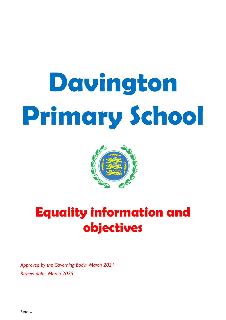# **Davington Primary School**



## **Equality information and objectives**

*Approved by the Governing Body: March 2021 Review date: March 2025*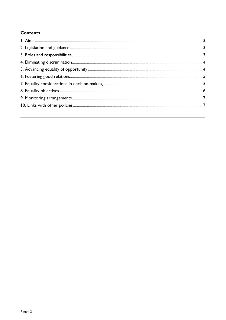### **Contents**

<span id="page-1-0"></span>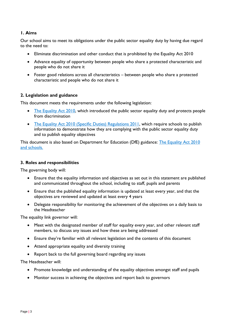#### **1. Aims**

Our school aims to meet its obligations under the public sector equality duty by having due regard to the need to:

- Eliminate discrimination and other conduct that is prohibited by the Equality Act 2010
- Advance equality of opportunity between people who share a protected characteristic and people who do not share it
- Foster good relations across all characteristics between people who share a protected characteristic and people who do not share it

#### <span id="page-2-0"></span>**2. Legislation and guidance**

This document meets the requirements under the following legislation:

- [The Equality Act 2010,](http://www.legislation.gov.uk/ukpga/2010/15/contents) which introduced the public sector equality duty and protects people from discrimination
- [The Equality Act 2010 \(Specific Duties\) Regulations 2011,](http://www.legislation.gov.uk/uksi/2011/2260/contents/made) which require schools to publish information to demonstrate how they are complying with the public sector equality duty and to publish equality objectives

This document is also based on Department for Education (DfE) guidance: The Equality Act 2010 [and schools.](https://www.gov.uk/government/publications/equality-act-2010-advice-for-schools) 

#### <span id="page-2-1"></span>**3. Roles and responsibilities**

The governing body will:

- Ensure that the equality information and objectives as set out in this statement are published and communicated throughout the school, including to staff, pupils and parents
- Ensure that the published equality information is updated at least every year, and that the objectives are reviewed and updated at least every 4 years
- Delegate responsibility for monitoring the achievement of the objectives on a daily basis to the Headteacher

The equality link governor will:

- Meet with the designated member of staff for equality every year, and other relevant staff members, to discuss any issues and how these are being addressed
- Ensure they're familiar with all relevant legislation and the contents of this document
- Attend appropriate equality and diversity training
- Report back to the full governing board regarding any issues

The Headteacher will:

- Promote knowledge and understanding of the equality objectives amongst staff and pupils
- Monitor success in achieving the objectives and report back to governors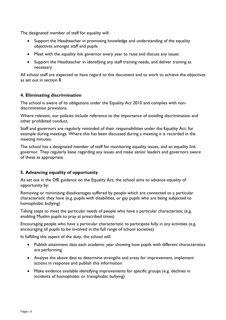The designated member of staff for equality will:

- Support the Headteacher in promoting knowledge and understanding of the equality objectives amongst staff and pupils
- Meet with the equality link governor every year to raise and discuss any issues
- Support the Headteacher in identifying any staff training needs, and deliver training as necessary

All school staff are expected to have regard to this document and to work to achieve the objectives as set out in section 8.

#### <span id="page-3-0"></span>**4. Eliminating discrimination**

The school is aware of its obligations under the Equality Act 2010 and complies with nondiscrimination provisions.

Where relevant, our policies include reference to the importance of avoiding discrimination and other prohibited conduct.

Staff and governors are regularly reminded of their responsibilities under the Equality Act, for example during meetings. Where this has been discussed during a meeting it is recorded in the meeting minutes.

The school has a designated member of staff for monitoring equality issues, and an equality link governor. They regularly liaise regarding any issues and make senior leaders and governors aware of these as appropriate

#### <span id="page-3-1"></span>**5. Advancing equality of opportunity**

As set out in the DfE guidance on the Equality Act, the school aims to advance equality of opportunity by:

Removing or minimising disadvantages suffered by people which are connected to a particular characteristic they have (e.g. pupils with disabilities, or gay pupils who are being subjected to homophobic bullying)

Taking steps to meet the particular needs of people who have a particular characteristic (e.g. enabling Muslim pupils to pray at prescribed times)

Encouraging people who have a particular characteristic to participate fully in any activities (e.g. encouraging all pupils to be involved in the full range of school societies)

In fulfilling this aspect of the duty, the school will:

- Publish attainment data each academic year showing how pupils with different characteristics are performing
- Analyse the above data to determine strengths and areas for improvement, implement actions in response and publish this information
- Make evidence available identifying improvements for specific groups (e.g. declines in incidents of homophobic or transphobic bullying)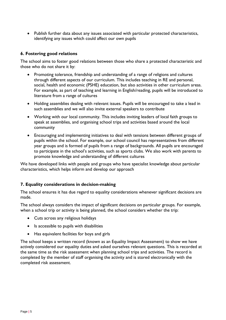Publish further data about any issues associated with particular protected characteristics, identifying any issues which could affect our own pupils

#### <span id="page-4-0"></span>**6. Fostering good relations**

The school aims to foster good relations between those who share a protected characteristic and those who do not share it by:

- Promoting tolerance, friendship and understanding of a range of religions and cultures through different aspects of our curriculum. This includes teaching in RE and personal, social, health and economic (PSHE) education, but also activities in other curriculum areas. For example, as part of teaching and learning in English/reading, pupils will be introduced to literature from a range of cultures
- Holding assemblies dealing with relevant issues. Pupils will be encouraged to take a lead in such assemblies and we will also invite external speakers to contribute
- Working with our local community. This includes inviting leaders of local faith groups to speak at assemblies, and organising school trips and activities based around the local community
- Encouraging and implementing initiatives to deal with tensions between different groups of pupils within the school. For example, our school council has representatives from different year groups and is formed of pupils from a range of backgrounds. All pupils are encouraged to participate in the school's activities, such as sports clubs. We also work with parents to promote knowledge and understanding of different cultures

We have developed links with people and groups who have specialist knowledge about particular characteristics, which helps inform and develop our approach

#### <span id="page-4-1"></span>**7. Equality considerations in decision-making**

The school ensures it has due regard to equality considerations whenever significant decisions are made.

The school always considers the impact of significant decisions on particular groups. For example, when a school trip or activity is being planned, the school considers whether the trip:

- Cuts across any religious holidays
- Is accessible to pupils with disabilities
- Has equivalent facilities for boys and girls

<span id="page-4-2"></span>The school keeps a written record (known as an Equality Impact Assessment) to show we have actively considered our equality duties and asked ourselves relevant questions. This is recorded at the same time as the risk assessment when planning school trips and activities. The record is completed by the member of staff organising the activity and is stored electronically with the completed risk assessment.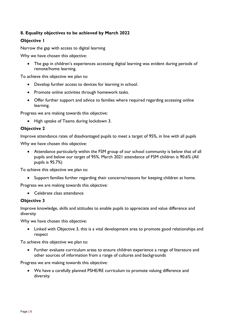#### **8. Equality objectives to be achieved by March 2022**

#### **Objective 1**

Narrow the gap with access to digital learning

Why we have chosen this objective:

 The gap in children's experiences accessing digital learning was evident during periods of remote/home learning.

To achieve this objective we plan to:

- Develop further access to devices for learning in school.
- Promote online activities through homework tasks.
- Offer further support and advice to families where required regarding accessing online learning.

Progress we are making towards this objective:

• High uptake of Teams during lockdown 3.

#### **Objective 2**

Improve attendance rates of disadvantaged pupils to meet a target of 95%, in line with all pupils

Why we have chosen this objective:

 Attendance particularly within the FSM group of our school community is below that of all pupils and below our target of 95%. March 2021 attendance of FSM children is 90.6% (All pupils is 95.7%)

To achieve this objective we plan to:

Support families further regarding their concerns/reasons for keeping children at home.

Progress we are making towards this objective:

• Celebrate class attendance

#### **Objective 3**

Improve knowledge, skills and attitudes to enable pupils to appreciate and value difference and diversity

Why we have chosen this objective:

 Linked with Objective 3, this is a vital development area to promote good relationships and respect

To achieve this objective we plan to:

 Further evaluate curriculum areas to ensure children experience a range of literature and other sources of information from a range of cultures and backgrounds

Progress we are making towards this objective:

 We have a carefully planned PSHE/RE curriculum to promote valuing difference and diversity